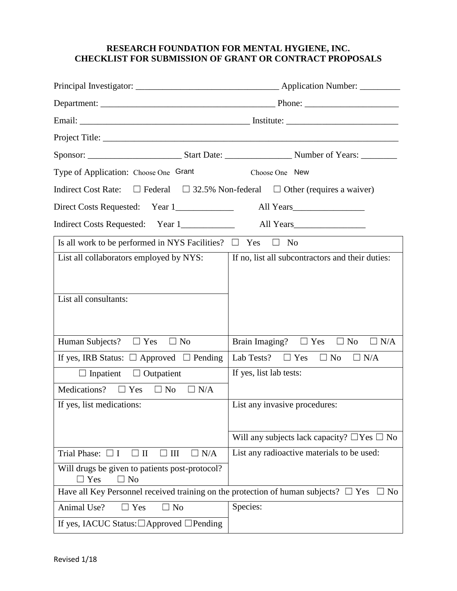## **RESEARCH FOUNDATION FOR MENTAL HYGIENE, INC. CHECKLIST FOR SUBMISSION OF GRANT OR CONTRACT PROPOSALS**

| Type of Application: Choose One Grant                                                        | Choose One New                                        |  |  |
|----------------------------------------------------------------------------------------------|-------------------------------------------------------|--|--|
| Indirect Cost Rate: $\Box$ Federal $\Box$ 32.5% Non-federal $\Box$ Other (requires a waiver) |                                                       |  |  |
|                                                                                              |                                                       |  |  |
|                                                                                              |                                                       |  |  |
| Is all work to be performed in NYS Facilities? $\Box$ Yes                                    | $\Box$ No                                             |  |  |
| List all collaborators employed by NYS:                                                      | If no, list all subcontractors and their duties:      |  |  |
|                                                                                              |                                                       |  |  |
| List all consultants:                                                                        |                                                       |  |  |
|                                                                                              |                                                       |  |  |
|                                                                                              |                                                       |  |  |
| Human Subjects? $\Box$ Yes<br>$\Box$ No                                                      | Brain Imaging? $\Box$ Yes $\Box$ No<br>$\Box$ N/A     |  |  |
| If yes, IRB Status: $\Box$ Approved $\Box$ Pending                                           | Lab Tests? $\Box$ Yes<br>$\Box$ No<br>$\Box$ N/A      |  |  |
| $\Box$ Inpatient $\Box$ Outpatient                                                           | If yes, list lab tests:                               |  |  |
| Medications? $\square$ Yes $\square$ No<br>$\Box$ N/A                                        |                                                       |  |  |
| If yes, list medications:                                                                    | List any invasive procedures:                         |  |  |
|                                                                                              |                                                       |  |  |
|                                                                                              | Will any subjects lack capacity? $\Box$ Yes $\Box$ No |  |  |
| Trial Phase: $\Box$ I<br>$\square$ II<br>N/A<br>III<br>$\Box$                                | List any radioactive materials to be used:            |  |  |
| Will drugs be given to patients post-protocol?<br>$\Box$ Yes<br>$\Box$ No                    |                                                       |  |  |
| Have all Key Personnel received training on the protection of human subjects? $\Box$ Yes     | $\Box$ No                                             |  |  |
| Animal Use?<br>N <sub>o</sub><br>Yes                                                         | Species:                                              |  |  |
| If yes, IACUC Status: $\Box$ Approved $\Box$ Pending                                         |                                                       |  |  |